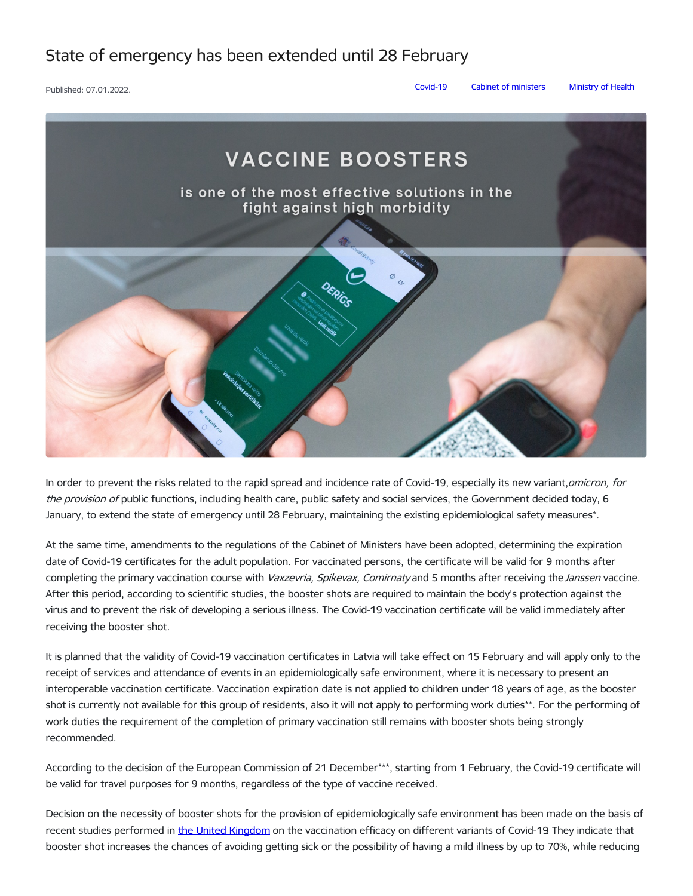## State of emergency has been extended until 28 February

Published: 07.01.2022. [Covid-19](https://www.mk.gov.lv/en/articles?category%255B125%255D=125) Cabinet of [ministers](https://www.mk.gov.lv/en/articles?category%255B145%255D=145) [Ministry](https://www.mk.gov.lv/en/articles?category%255B156%255D=156) of Health



In order to prevent the risks related to the rapid spread and incidence rate of Covid-19, especially its new variant, omicron, for the provision of public functions, including health care, public safety and social services, the Government decided today, 6 January, to extend the state of emergency until 28 February, maintaining the existing epidemiological safety measures\*.

At the same time, amendments to the regulations of the Cabinet of Ministers have been adopted, determining the expiration date of Covid-19 certificates for the adult population. For vaccinated persons, the certificate will be valid for 9 months after completing the primary vaccination course with Vaxzevria, Spikevax, Comirnaty and 5 months after receiving the Janssen vaccine. After this period, according to scientific studies, the booster shots are required to maintain the body's protection against the virus and to prevent the risk of developing a serious illness. The Covid-19 vaccination certificate will be valid immediately after receiving the booster shot.

It is planned that the validity of Covid-19 vaccination certificates in Latvia will take effect on 15 February and will apply only to the receipt of services and attendance of events in an epidemiologically safe environment, where it is necessary to present an interoperable vaccination certificate. Vaccination expiration date is not applied to children under 18 years of age, as the booster shot is currently not available for this group of residents, also it will not apply to performing work duties\*\*. For the performing of work duties the requirement of the completion of primary vaccination still remains with booster shots being strongly recommended.

According to the decision of the European Commission of 21 December\*\*\*, starting from 1 February, the Covid-19 certificate will be valid for travel purposes for 9 months, regardless of the type of vaccine received.

Decision on the necessity of booster shots for the provision of epidemiologically safe environment has been made on the basis of recent studies performed in the United [Kingdom](https://assets.publishing.service.gov.uk/government/uploads/system/uploads/attachment_data/file/1044481/Technical-Briefing-31-Dec-2021-Omicron_severity_update.pdf) on the vaccination efficacy on different variants of Covid-19. They indicate that booster shot increases the chances of avoiding getting sick or the possibility of having a mild illness by up to 70%, while reducing